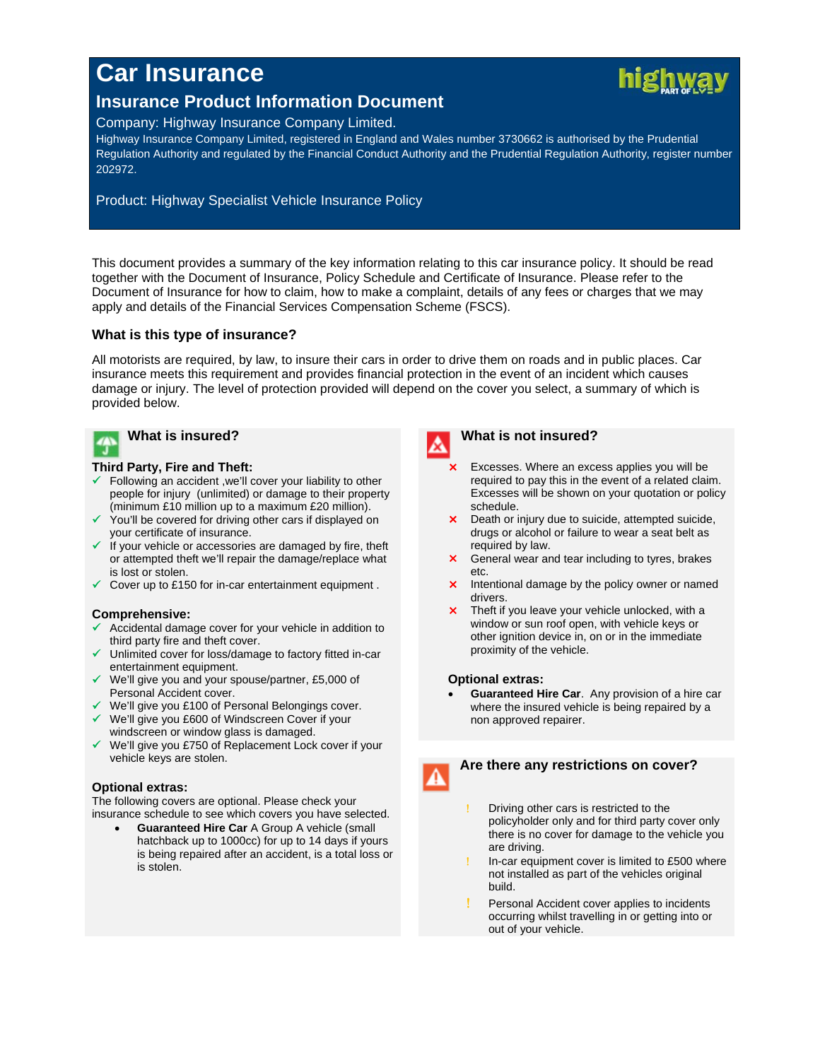# **Car Insurance**



# **Insurance Product Information Document**

## Company: Highway Insurance Company Limited.

Highway Insurance Company Limited, registered in England and Wales number 3730662 is authorised by the Prudential Regulation Authority and regulated by the Financial Conduct Authority and the Prudential Regulation Authority, register number 202972.

# Product: Highway Specialist Vehicle Insurance Policy

This document provides a summary of the key information relating to this car insurance policy. It should be read together with the Document of Insurance, Policy Schedule and Certificate of Insurance. Please refer to the Document of Insurance for how to claim, how to make a complaint, details of any fees or charges that we may apply and details of the Financial Services Compensation Scheme (FSCS).

# **What is this type of insurance?**

All motorists are required, by law, to insure their cars in order to drive them on roads and in public places. Car insurance meets this requirement and provides financial protection in the event of an incident which causes damage or injury. The level of protection provided will depend on the cover you select, a summary of which is provided below.

# **What is insured?**

#### **Third Party, Fire and Theft:**

- Following an accident ,we'll cover your liability to other people for injury (unlimited) or damage to their property (minimum £10 million up to a maximum £20 million).
- $\checkmark$  You'll be covered for driving other cars if displayed on your certificate of insurance.
- $\checkmark$  If your vehicle or accessories are damaged by fire, theft or attempted theft we'll repair the damage/replace what is lost or stolen.
- $\checkmark$  Cover up to £150 for in-car entertainment equipment.

# **Comprehensive:**

- Accidental damage cover for your vehicle in addition to third party fire and theft cover.
- $\checkmark$  Unlimited cover for loss/damage to factory fitted in-car entertainment equipment.
- $\checkmark$  We'll give you and your spouse/partner, £5,000 of Personal Accident cover.
- We'll give you £100 of Personal Belongings cover.
- We'll give you £600 of Windscreen Cover if your windscreen or window glass is damaged.
- We'll give you £750 of Replacement Lock cover if your vehicle keys are stolen.

#### **Optional extras:**

The following covers are optional. Please check your insurance schedule to see which covers you have selected.

 **Guaranteed Hire Car** A Group A vehicle (small hatchback up to 1000cc) for up to 14 days if yours is being repaired after an accident, is a total loss or is stolen.



### **What is not insured?**

- Excesses. Where an excess applies you will be required to pay this in the event of a related claim. Excesses will be shown on your quotation or policy schedule.
- **X** Death or injury due to suicide, attempted suicide, drugs or alcohol or failure to wear a seat belt as required by law.
- **X** General wear and tear including to tyres, brakes etc.
- **X** Intentional damage by the policy owner or named drivers.
- **x** Theft if you leave your vehicle unlocked, with a window or sun roof open, with vehicle keys or other ignition device in, on or in the immediate proximity of the vehicle.

#### **Optional extras:**

 **Guaranteed Hire Car**. Any provision of a hire car where the insured vehicle is being repaired by a non approved repairer.



# **Are there any restrictions on cover?**

- Driving other cars is restricted to the policyholder only and for third party cover only there is no cover for damage to the vehicle you are driving.
- In-car equipment cover is limited to £500 where not installed as part of the vehicles original build.
- Personal Accident cover applies to incidents occurring whilst travelling in or getting into or out of your vehicle.